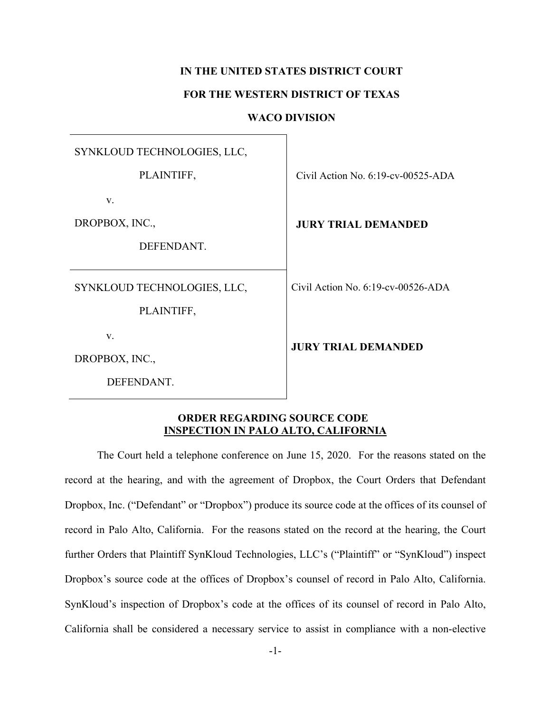## **IN THE UNITED STATES DISTRICT COURT**

## **FOR THE WESTERN DISTRICT OF TEXAS**

## **WACO DIVISION**

SYNKLOUD TECHNOLOGIES, LLC, PLAINTIFF, v. DROPBOX, INC., DEFENDANT. Civil Action No. 6:19-cv-00525-ADA **JURY TRIAL DEMANDED** SYNKLOUD TECHNOLOGIES, LLC, PLAINTIFF, v. DROPBOX, INC., Civil Action No. 6:19-cv-00526-ADA **JURY TRIAL DEMANDED**

DEFENDANT.

## **ORDER REGARDING SOURCE CODE INSPECTION IN PALO ALTO, CALIFORNIA**

The Court held a telephone conference on June 15, 2020. For the reasons stated on the record at the hearing, and with the agreement of Dropbox, the Court Orders that Defendant Dropbox, Inc. ("Defendant" or "Dropbox") produce its source code at the offices of its counsel of record in Palo Alto, California. For the reasons stated on the record at the hearing, the Court further Orders that Plaintiff SynKloud Technologies, LLC's ("Plaintiff" or "SynKloud") inspect Dropbox's source code at the offices of Dropbox's counsel of record in Palo Alto, California. SynKloud's inspection of Dropbox's code at the offices of its counsel of record in Palo Alto, California shall be considered a necessary service to assist in compliance with a non-elective